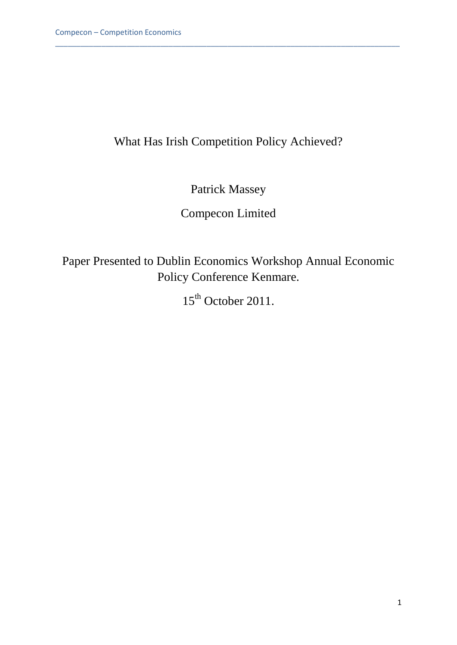# What Has Irish Competition Policy Achieved?

\_\_\_\_\_\_\_\_\_\_\_\_\_\_\_\_\_\_\_\_\_\_\_\_\_\_\_\_\_\_\_\_\_\_\_\_\_\_\_\_\_\_\_\_\_\_\_\_\_\_\_\_\_\_\_\_\_\_\_\_\_\_\_\_\_\_\_\_\_\_\_\_\_\_\_\_\_\_\_\_\_\_

Patrick Massey

Compecon Limited

Paper Presented to Dublin Economics Workshop Annual Economic Policy Conference Kenmare.

 $15<sup>th</sup>$  October 2011.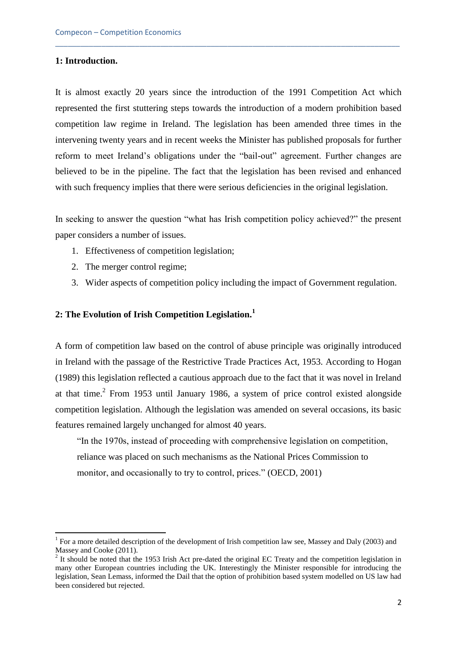## **1: Introduction.**

1

It is almost exactly 20 years since the introduction of the 1991 Competition Act which represented the first stuttering steps towards the introduction of a modern prohibition based competition law regime in Ireland. The legislation has been amended three times in the intervening twenty years and in recent weeks the Minister has published proposals for further reform to meet Ireland's obligations under the "bail-out" agreement. Further changes are believed to be in the pipeline. The fact that the legislation has been revised and enhanced with such frequency implies that there were serious deficiencies in the original legislation.

\_\_\_\_\_\_\_\_\_\_\_\_\_\_\_\_\_\_\_\_\_\_\_\_\_\_\_\_\_\_\_\_\_\_\_\_\_\_\_\_\_\_\_\_\_\_\_\_\_\_\_\_\_\_\_\_\_\_\_\_\_\_\_\_\_\_\_\_\_\_\_\_\_\_\_\_\_\_\_\_\_\_

In seeking to answer the question "what has Irish competition policy achieved?" the present paper considers a number of issues.

- 1. Effectiveness of competition legislation;
- 2. The merger control regime;
- 3. Wider aspects of competition policy including the impact of Government regulation.

# **2: The Evolution of Irish Competition Legislation.<sup>1</sup>**

A form of competition law based on the control of abuse principle was originally introduced in Ireland with the passage of the Restrictive Trade Practices Act, 1953. According to Hogan (1989) this legislation reflected a cautious approach due to the fact that it was novel in Ireland at that time. $<sup>2</sup>$  From 1953 until January 1986, a system of price control existed alongside</sup> competition legislation. Although the legislation was amended on several occasions, its basic features remained largely unchanged for almost 40 years.

"In the 1970s, instead of proceeding with comprehensive legislation on competition, reliance was placed on such mechanisms as the National Prices Commission to monitor, and occasionally to try to control, prices." (OECD, 2001)

<sup>&</sup>lt;sup>1</sup> For a more detailed description of the development of Irish competition law see, Massey and Daly (2003) and Massey and Cooke (2011).

 $2$  It should be noted that the 1953 Irish Act pre-dated the original EC Treaty and the competition legislation in many other European countries including the UK. Interestingly the Minister responsible for introducing the legislation, Sean Lemass, informed the Dail that the option of prohibition based system modelled on US law had been considered but rejected.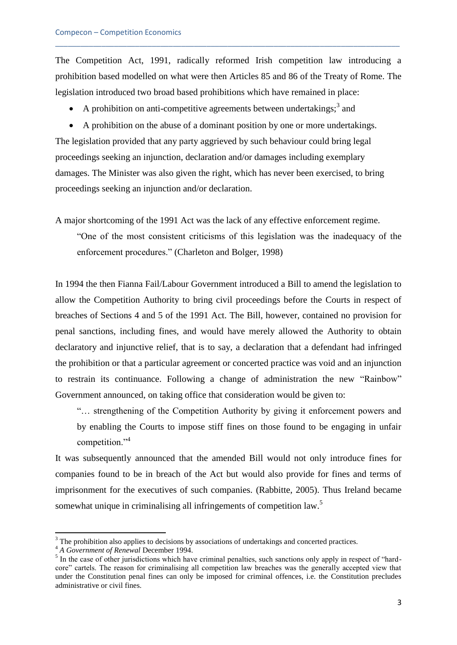The Competition Act, 1991, radically reformed Irish competition law introducing a prohibition based modelled on what were then Articles 85 and 86 of the Treaty of Rome. The legislation introduced two broad based prohibitions which have remained in place:

\_\_\_\_\_\_\_\_\_\_\_\_\_\_\_\_\_\_\_\_\_\_\_\_\_\_\_\_\_\_\_\_\_\_\_\_\_\_\_\_\_\_\_\_\_\_\_\_\_\_\_\_\_\_\_\_\_\_\_\_\_\_\_\_\_\_\_\_\_\_\_\_\_\_\_\_\_\_\_\_\_\_

• A prohibition on anti-competitive agreements between undertakings;  $3$  and

 A prohibition on the abuse of a dominant position by one or more undertakings. The legislation provided that any party aggrieved by such behaviour could bring legal proceedings seeking an injunction, declaration and/or damages including exemplary damages. The Minister was also given the right, which has never been exercised, to bring proceedings seeking an injunction and/or declaration.

A major shortcoming of the 1991 Act was the lack of any effective enforcement regime.

"One of the most consistent criticisms of this legislation was the inadequacy of the enforcement procedures." (Charleton and Bolger, 1998)

In 1994 the then Fianna Fail/Labour Government introduced a Bill to amend the legislation to allow the Competition Authority to bring civil proceedings before the Courts in respect of breaches of Sections 4 and 5 of the 1991 Act. The Bill, however, contained no provision for penal sanctions*,* including fines, and would have merely allowed the Authority to obtain declaratory and injunctive relief, that is to say, a declaration that a defendant had infringed the prohibition or that a particular agreement or concerted practice was void and an injunction to restrain its continuance. Following a change of administration the new "Rainbow" Government announced, on taking office that consideration would be given to:

"… strengthening of the Competition Authority by giving it enforcement powers and by enabling the Courts to impose stiff fines on those found to be engaging in unfair competition."<sup>4</sup>

It was subsequently announced that the amended Bill would not only introduce fines for companies found to be in breach of the Act but would also provide for fines and terms of imprisonment for the executives of such companies. (Rabbitte, 2005). Thus Ireland became somewhat unique in criminalising all infringements of competition law.<sup>5</sup>

1

 $3$  The prohibition also applies to decisions by associations of undertakings and concerted practices.

<sup>4</sup> *A Government of Renewal* December 1994.

 $<sup>5</sup>$  In the case of other jurisdictions which have criminal penalties, such sanctions only apply in respect of "hard-</sup> core" cartels. The reason for criminalising all competition law breaches was the generally accepted view that under the Constitution penal fines can only be imposed for criminal offences, i.e. the Constitution precludes administrative or civil fines.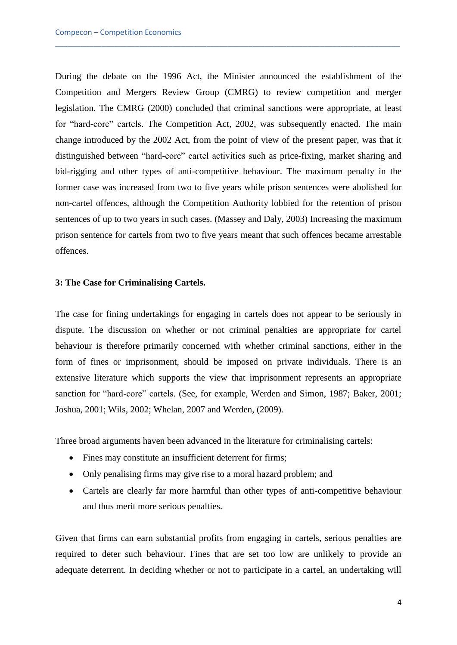During the debate on the 1996 Act, the Minister announced the establishment of the Competition and Mergers Review Group (CMRG) to review competition and merger legislation. The CMRG (2000) concluded that criminal sanctions were appropriate, at least for "hard-core" cartels. The Competition Act, 2002, was subsequently enacted. The main change introduced by the 2002 Act, from the point of view of the present paper, was that it distinguished between "hard-core" cartel activities such as price-fixing, market sharing and bid-rigging and other types of anti-competitive behaviour. The maximum penalty in the former case was increased from two to five years while prison sentences were abolished for non-cartel offences, although the Competition Authority lobbied for the retention of prison sentences of up to two years in such cases. (Massey and Daly, 2003) Increasing the maximum prison sentence for cartels from two to five years meant that such offences became arrestable offences.

\_\_\_\_\_\_\_\_\_\_\_\_\_\_\_\_\_\_\_\_\_\_\_\_\_\_\_\_\_\_\_\_\_\_\_\_\_\_\_\_\_\_\_\_\_\_\_\_\_\_\_\_\_\_\_\_\_\_\_\_\_\_\_\_\_\_\_\_\_\_\_\_\_\_\_\_\_\_\_\_\_\_

# **3: The Case for Criminalising Cartels.**

The case for fining undertakings for engaging in cartels does not appear to be seriously in dispute. The discussion on whether or not criminal penalties are appropriate for cartel behaviour is therefore primarily concerned with whether criminal sanctions, either in the form of fines or imprisonment, should be imposed on private individuals. There is an extensive literature which supports the view that imprisonment represents an appropriate sanction for "hard-core" cartels. (See, for example, Werden and Simon, 1987; Baker, 2001; Joshua, 2001; Wils, 2002; Whelan, 2007 and Werden, (2009).

Three broad arguments haven been advanced in the literature for criminalising cartels:

- Fines may constitute an insufficient deterrent for firms;
- Only penalising firms may give rise to a moral hazard problem; and
- Cartels are clearly far more harmful than other types of anti-competitive behaviour and thus merit more serious penalties.

Given that firms can earn substantial profits from engaging in cartels, serious penalties are required to deter such behaviour. Fines that are set too low are unlikely to provide an adequate deterrent. In deciding whether or not to participate in a cartel, an undertaking will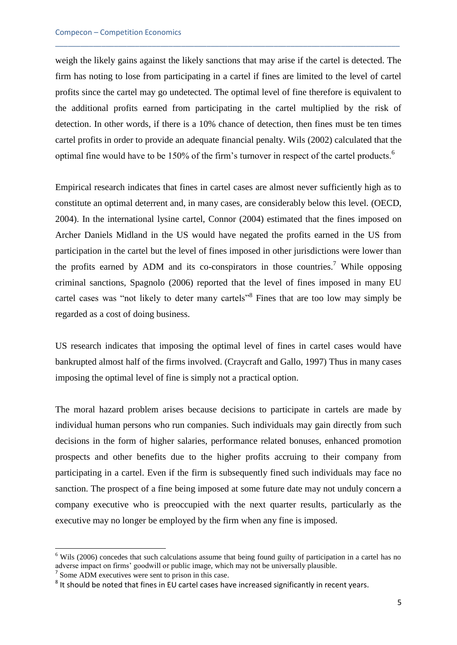weigh the likely gains against the likely sanctions that may arise if the cartel is detected. The firm has noting to lose from participating in a cartel if fines are limited to the level of cartel profits since the cartel may go undetected. The optimal level of fine therefore is equivalent to the additional profits earned from participating in the cartel multiplied by the risk of detection. In other words, if there is a 10% chance of detection, then fines must be ten times cartel profits in order to provide an adequate financial penalty. Wils (2002) calculated that the optimal fine would have to be 150% of the firm's turnover in respect of the cartel products.<sup>6</sup>

\_\_\_\_\_\_\_\_\_\_\_\_\_\_\_\_\_\_\_\_\_\_\_\_\_\_\_\_\_\_\_\_\_\_\_\_\_\_\_\_\_\_\_\_\_\_\_\_\_\_\_\_\_\_\_\_\_\_\_\_\_\_\_\_\_\_\_\_\_\_\_\_\_\_\_\_\_\_\_\_\_\_

Empirical research indicates that fines in cartel cases are almost never sufficiently high as to constitute an optimal deterrent and, in many cases, are considerably below this level. (OECD, 2004). In the international lysine cartel, Connor (2004) estimated that the fines imposed on Archer Daniels Midland in the US would have negated the profits earned in the US from participation in the cartel but the level of fines imposed in other jurisdictions were lower than the profits earned by ADM and its co-conspirators in those countries.<sup>7</sup> While opposing criminal sanctions, Spagnolo (2006) reported that the level of fines imposed in many EU cartel cases was "not likely to deter many cartels"<sup>8</sup> Fines that are too low may simply be regarded as a cost of doing business.

US research indicates that imposing the optimal level of fines in cartel cases would have bankrupted almost half of the firms involved. (Craycraft and Gallo, 1997) Thus in many cases imposing the optimal level of fine is simply not a practical option.

The moral hazard problem arises because decisions to participate in cartels are made by individual human persons who run companies. Such individuals may gain directly from such decisions in the form of higher salaries, performance related bonuses, enhanced promotion prospects and other benefits due to the higher profits accruing to their company from participating in a cartel. Even if the firm is subsequently fined such individuals may face no sanction. The prospect of a fine being imposed at some future date may not unduly concern a company executive who is preoccupied with the next quarter results, particularly as the executive may no longer be employed by the firm when any fine is imposed.

**.** 

<sup>&</sup>lt;sup>6</sup> Wils (2006) concedes that such calculations assume that being found guilty of participation in a cartel has no adverse impact on firms' goodwill or public image, which may not be universally plausible.

<sup>&</sup>lt;sup>7</sup> Some ADM executives were sent to prison in this case.

 $^8$  It should be noted that fines in EU cartel cases have increased significantly in recent years.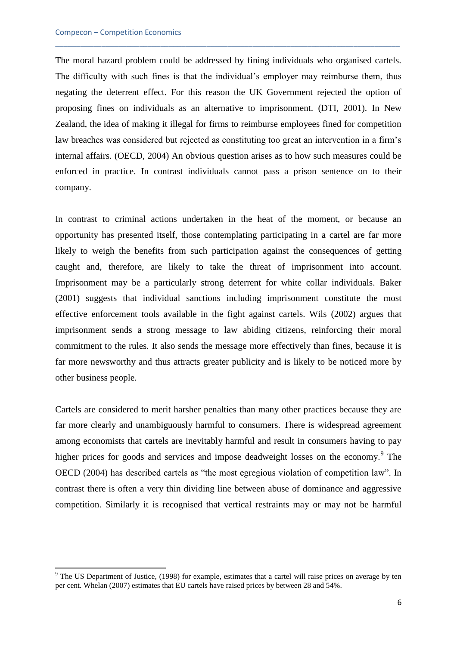**.** 

The moral hazard problem could be addressed by fining individuals who organised cartels. The difficulty with such fines is that the individual's employer may reimburse them, thus negating the deterrent effect. For this reason the UK Government rejected the option of proposing fines on individuals as an alternative to imprisonment. (DTI, 2001). In New Zealand, the idea of making it illegal for firms to reimburse employees fined for competition law breaches was considered but rejected as constituting too great an intervention in a firm's internal affairs. (OECD, 2004) An obvious question arises as to how such measures could be enforced in practice. In contrast individuals cannot pass a prison sentence on to their company.

\_\_\_\_\_\_\_\_\_\_\_\_\_\_\_\_\_\_\_\_\_\_\_\_\_\_\_\_\_\_\_\_\_\_\_\_\_\_\_\_\_\_\_\_\_\_\_\_\_\_\_\_\_\_\_\_\_\_\_\_\_\_\_\_\_\_\_\_\_\_\_\_\_\_\_\_\_\_\_\_\_\_

In contrast to criminal actions undertaken in the heat of the moment, or because an opportunity has presented itself, those contemplating participating in a cartel are far more likely to weigh the benefits from such participation against the consequences of getting caught and, therefore, are likely to take the threat of imprisonment into account. Imprisonment may be a particularly strong deterrent for white collar individuals. Baker (2001) suggests that individual sanctions including imprisonment constitute the most effective enforcement tools available in the fight against cartels. Wils (2002) argues that imprisonment sends a strong message to law abiding citizens, reinforcing their moral commitment to the rules. It also sends the message more effectively than fines, because it is far more newsworthy and thus attracts greater publicity and is likely to be noticed more by other business people.

Cartels are considered to merit harsher penalties than many other practices because they are far more clearly and unambiguously harmful to consumers. There is widespread agreement among economists that cartels are inevitably harmful and result in consumers having to pay higher prices for goods and services and impose deadweight losses on the economy.<sup>9</sup> The OECD (2004) has described cartels as "the most egregious violation of competition law". In contrast there is often a very thin dividing line between abuse of dominance and aggressive competition. Similarly it is recognised that vertical restraints may or may not be harmful

 $9$  The US Department of Justice, (1998) for example, estimates that a cartel will raise prices on average by ten per cent. Whelan (2007) estimates that EU cartels have raised prices by between 28 and 54%.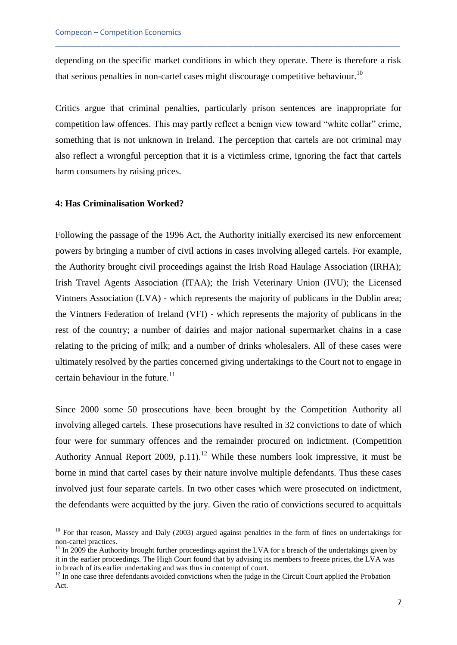depending on the specific market conditions in which they operate. There is therefore a risk that serious penalties in non-cartel cases might discourage competitive behaviour.<sup>10</sup>

\_\_\_\_\_\_\_\_\_\_\_\_\_\_\_\_\_\_\_\_\_\_\_\_\_\_\_\_\_\_\_\_\_\_\_\_\_\_\_\_\_\_\_\_\_\_\_\_\_\_\_\_\_\_\_\_\_\_\_\_\_\_\_\_\_\_\_\_\_\_\_\_\_\_\_\_\_\_\_\_\_\_

Critics argue that criminal penalties, particularly prison sentences are inappropriate for competition law offences. This may partly reflect a benign view toward "white collar" crime, something that is not unknown in Ireland. The perception that cartels are not criminal may also reflect a wrongful perception that it is a victimless crime, ignoring the fact that cartels harm consumers by raising prices.

# **4: Has Criminalisation Worked?**

**.** 

Following the passage of the 1996 Act, the Authority initially exercised its new enforcement powers by bringing a number of civil actions in cases involving alleged cartels. For example, the Authority brought civil proceedings against the Irish Road Haulage Association (IRHA); Irish Travel Agents Association (ITAA); the Irish Veterinary Union (IVU); the Licensed Vintners Association (LVA) - which represents the majority of publicans in the Dublin area; the Vintners Federation of Ireland (VFI) - which represents the majority of publicans in the rest of the country; a number of dairies and major national supermarket chains in a case relating to the pricing of milk; and a number of drinks wholesalers. All of these cases were ultimately resolved by the parties concerned giving undertakings to the Court not to engage in certain behaviour in the future. $^{11}$ 

Since 2000 some 50 prosecutions have been brought by the Competition Authority all involving alleged cartels. These prosecutions have resulted in 32 convictions to date of which four were for summary offences and the remainder procured on indictment. (Competition Authority Annual Report 2009, p.11).<sup>12</sup> While these numbers look impressive, it must be borne in mind that cartel cases by their nature involve multiple defendants. Thus these cases involved just four separate cartels. In two other cases which were prosecuted on indictment, the defendants were acquitted by the jury. Given the ratio of convictions secured to acquittals

<sup>&</sup>lt;sup>10</sup> For that reason, Massey and Daly (2003) argued against penalties in the form of fines on undertakings for non-cartel practices.

<sup>&</sup>lt;sup>11</sup> In 2009 the Authority brought further proceedings against the LVA for a breach of the undertakings given by it in the earlier proceedings. The High Court found that by advising its members to freeze prices, the LVA was in breach of its earlier undertaking and was thus in contempt of court.

 $12$  In one case three defendants avoided convictions when the judge in the Circuit Court applied the Probation Act.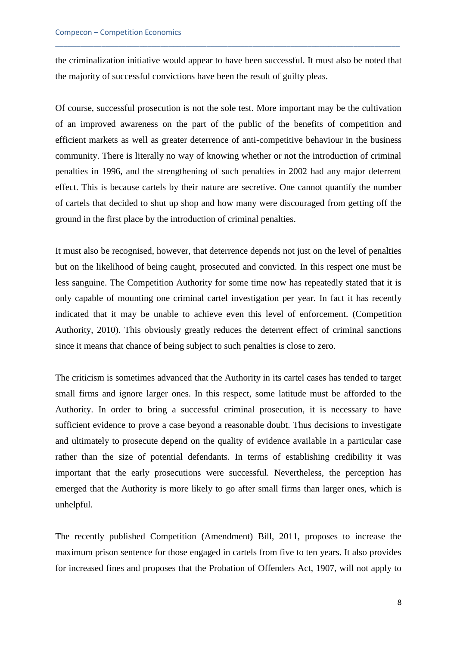the criminalization initiative would appear to have been successful. It must also be noted that the majority of successful convictions have been the result of guilty pleas.

\_\_\_\_\_\_\_\_\_\_\_\_\_\_\_\_\_\_\_\_\_\_\_\_\_\_\_\_\_\_\_\_\_\_\_\_\_\_\_\_\_\_\_\_\_\_\_\_\_\_\_\_\_\_\_\_\_\_\_\_\_\_\_\_\_\_\_\_\_\_\_\_\_\_\_\_\_\_\_\_\_\_

Of course, successful prosecution is not the sole test. More important may be the cultivation of an improved awareness on the part of the public of the benefits of competition and efficient markets as well as greater deterrence of anti-competitive behaviour in the business community. There is literally no way of knowing whether or not the introduction of criminal penalties in 1996, and the strengthening of such penalties in 2002 had any major deterrent effect. This is because cartels by their nature are secretive. One cannot quantify the number of cartels that decided to shut up shop and how many were discouraged from getting off the ground in the first place by the introduction of criminal penalties.

It must also be recognised, however, that deterrence depends not just on the level of penalties but on the likelihood of being caught, prosecuted and convicted. In this respect one must be less sanguine. The Competition Authority for some time now has repeatedly stated that it is only capable of mounting one criminal cartel investigation per year. In fact it has recently indicated that it may be unable to achieve even this level of enforcement. (Competition Authority, 2010). This obviously greatly reduces the deterrent effect of criminal sanctions since it means that chance of being subject to such penalties is close to zero.

The criticism is sometimes advanced that the Authority in its cartel cases has tended to target small firms and ignore larger ones. In this respect, some latitude must be afforded to the Authority. In order to bring a successful criminal prosecution, it is necessary to have sufficient evidence to prove a case beyond a reasonable doubt. Thus decisions to investigate and ultimately to prosecute depend on the quality of evidence available in a particular case rather than the size of potential defendants. In terms of establishing credibility it was important that the early prosecutions were successful. Nevertheless, the perception has emerged that the Authority is more likely to go after small firms than larger ones, which is unhelpful.

The recently published Competition (Amendment) Bill, 2011, proposes to increase the maximum prison sentence for those engaged in cartels from five to ten years. It also provides for increased fines and proposes that the Probation of Offenders Act, 1907, will not apply to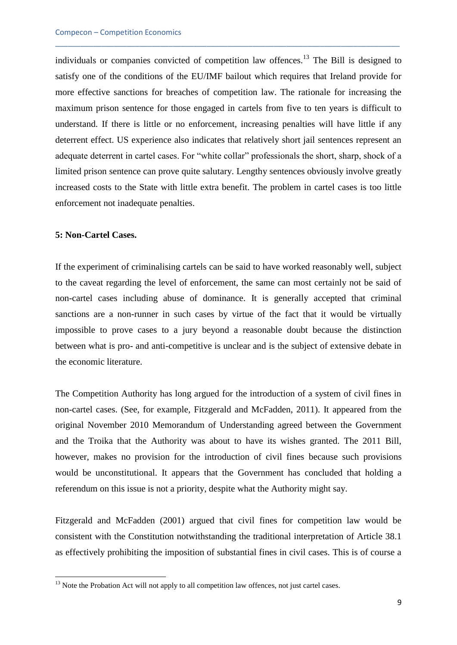individuals or companies convicted of competition law offences.<sup>13</sup> The Bill is designed to satisfy one of the conditions of the EU/IMF bailout which requires that Ireland provide for more effective sanctions for breaches of competition law. The rationale for increasing the maximum prison sentence for those engaged in cartels from five to ten years is difficult to understand. If there is little or no enforcement, increasing penalties will have little if any deterrent effect. US experience also indicates that relatively short jail sentences represent an adequate deterrent in cartel cases. For "white collar" professionals the short, sharp, shock of a limited prison sentence can prove quite salutary. Lengthy sentences obviously involve greatly increased costs to the State with little extra benefit. The problem in cartel cases is too little enforcement not inadequate penalties.

\_\_\_\_\_\_\_\_\_\_\_\_\_\_\_\_\_\_\_\_\_\_\_\_\_\_\_\_\_\_\_\_\_\_\_\_\_\_\_\_\_\_\_\_\_\_\_\_\_\_\_\_\_\_\_\_\_\_\_\_\_\_\_\_\_\_\_\_\_\_\_\_\_\_\_\_\_\_\_\_\_\_

#### **5: Non-Cartel Cases.**

**.** 

If the experiment of criminalising cartels can be said to have worked reasonably well, subject to the caveat regarding the level of enforcement, the same can most certainly not be said of non-cartel cases including abuse of dominance. It is generally accepted that criminal sanctions are a non-runner in such cases by virtue of the fact that it would be virtually impossible to prove cases to a jury beyond a reasonable doubt because the distinction between what is pro- and anti-competitive is unclear and is the subject of extensive debate in the economic literature.

The Competition Authority has long argued for the introduction of a system of civil fines in non-cartel cases. (See, for example, Fitzgerald and McFadden, 2011). It appeared from the original November 2010 Memorandum of Understanding agreed between the Government and the Troika that the Authority was about to have its wishes granted. The 2011 Bill, however, makes no provision for the introduction of civil fines because such provisions would be unconstitutional. It appears that the Government has concluded that holding a referendum on this issue is not a priority, despite what the Authority might say.

Fitzgerald and McFadden (2001) argued that civil fines for competition law would be consistent with the Constitution notwithstanding the traditional interpretation of Article 38.1 as effectively prohibiting the imposition of substantial fines in civil cases. This is of course a

 $13$  Note the Probation Act will not apply to all competition law offences, not just cartel cases.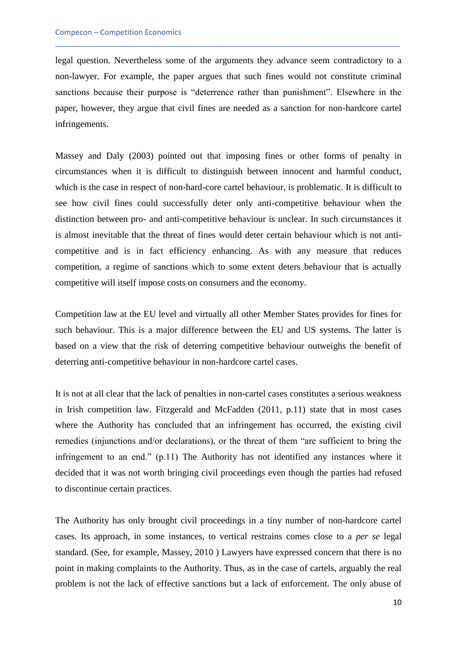legal question. Nevertheless some of the arguments they advance seem contradictory to a non-lawyer. For example, the paper argues that such fines would not constitute criminal sanctions because their purpose is "deterrence rather than punishment". Elsewhere in the paper, however, they argue that civil fines are needed as a sanction for non-hardcore cartel infringements.

\_\_\_\_\_\_\_\_\_\_\_\_\_\_\_\_\_\_\_\_\_\_\_\_\_\_\_\_\_\_\_\_\_\_\_\_\_\_\_\_\_\_\_\_\_\_\_\_\_\_\_\_\_\_\_\_\_\_\_\_\_\_\_\_\_\_\_\_\_\_\_\_\_\_\_\_\_\_\_\_\_\_

Massey and Daly (2003) pointed out that imposing fines or other forms of penalty in circumstances when it is difficult to distinguish between innocent and harmful conduct, which is the case in respect of non-hard-core cartel behaviour, is problematic. It is difficult to see how civil fines could successfully deter only anti-competitive behaviour when the distinction between pro- and anti-competitive behaviour is unclear. In such circumstances it is almost inevitable that the threat of fines would deter certain behaviour which is not anticompetitive and is in fact efficiency enhancing. As with any measure that reduces competition, a regime of sanctions which to some extent deters behaviour that is actually competitive will itself impose costs on consumers and the economy.

Competition law at the EU level and virtually all other Member States provides for fines for such behaviour. This is a major difference between the EU and US systems. The latter is based on a view that the risk of deterring competitive behaviour outweighs the benefit of deterring anti-competitive behaviour in non-hardcore cartel cases.

It is not at all clear that the lack of penalties in non-cartel cases constitutes a serious weakness in Irish competition law. Fitzgerald and McFadden (2011, p.11) state that in most cases where the Authority has concluded that an infringement has occurred, the existing civil remedies (injunctions and/or declarations), or the threat of them "are sufficient to bring the infringement to an end." (p.11) The Authority has not identified any instances where it decided that it was not worth bringing civil proceedings even though the parties had refused to discontinue certain practices.

The Authority has only brought civil proceedings in a tiny number of non-hardcore cartel cases. Its approach, in some instances, to vertical restrains comes close to a *per se* legal standard. (See, for example, Massey, 2010 ) Lawyers have expressed concern that there is no point in making complaints to the Authority. Thus, as in the case of cartels, arguably the real problem is not the lack of effective sanctions but a lack of enforcement. The only abuse of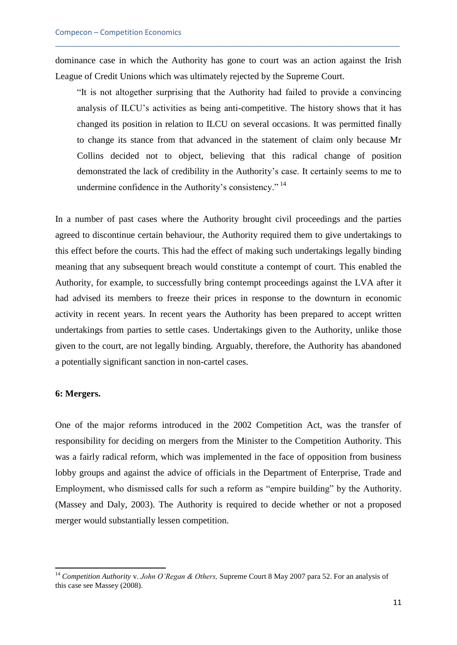dominance case in which the Authority has gone to court was an action against the Irish League of Credit Unions which was ultimately rejected by the Supreme Court.

\_\_\_\_\_\_\_\_\_\_\_\_\_\_\_\_\_\_\_\_\_\_\_\_\_\_\_\_\_\_\_\_\_\_\_\_\_\_\_\_\_\_\_\_\_\_\_\_\_\_\_\_\_\_\_\_\_\_\_\_\_\_\_\_\_\_\_\_\_\_\_\_\_\_\_\_\_\_\_\_\_\_

"It is not altogether surprising that the Authority had failed to provide a convincing analysis of ILCU's activities as being anti-competitive. The history shows that it has changed its position in relation to ILCU on several occasions. It was permitted finally to change its stance from that advanced in the statement of claim only because Mr Collins decided not to object, believing that this radical change of position demonstrated the lack of credibility in the Authority's case. It certainly seems to me to undermine confidence in the Authority's consistency." <sup>14</sup>

In a number of past cases where the Authority brought civil proceedings and the parties agreed to discontinue certain behaviour, the Authority required them to give undertakings to this effect before the courts. This had the effect of making such undertakings legally binding meaning that any subsequent breach would constitute a contempt of court. This enabled the Authority, for example, to successfully bring contempt proceedings against the LVA after it had advised its members to freeze their prices in response to the downturn in economic activity in recent years. In recent years the Authority has been prepared to accept written undertakings from parties to settle cases. Undertakings given to the Authority, unlike those given to the court, are not legally binding. Arguably, therefore, the Authority has abandoned a potentially significant sanction in non-cartel cases.

# **6: Mergers.**

**.** 

One of the major reforms introduced in the 2002 Competition Act, was the transfer of responsibility for deciding on mergers from the Minister to the Competition Authority. This was a fairly radical reform, which was implemented in the face of opposition from business lobby groups and against the advice of officials in the Department of Enterprise, Trade and Employment, who dismissed calls for such a reform as "empire building" by the Authority. (Massey and Daly, 2003). The Authority is required to decide whether or not a proposed merger would substantially lessen competition.

<sup>14</sup> *Competition Authority* v. *John O'Regan & Others,* Supreme Court 8 May 2007 para 52. For an analysis of this case see Massey (2008).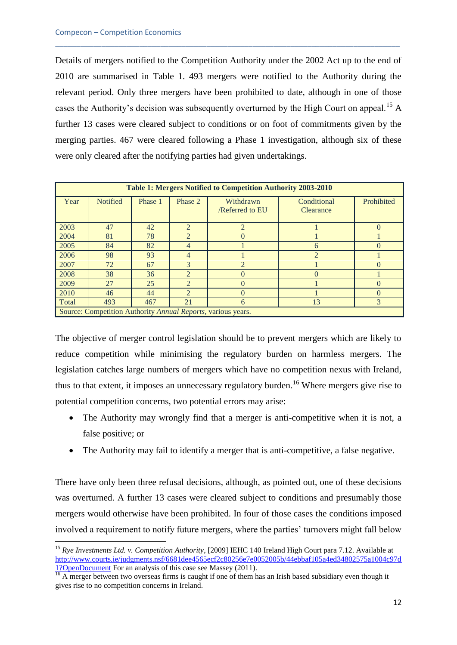**.** 

Details of mergers notified to the Competition Authority under the 2002 Act up to the end of 2010 are summarised in Table 1. 493 mergers were notified to the Authority during the relevant period. Only three mergers have been prohibited to date, although in one of those cases the Authority's decision was subsequently overturned by the High Court on appeal.<sup>15</sup> A further 13 cases were cleared subject to conditions or on foot of commitments given by the merging parties. 467 were cleared following a Phase 1 investigation, although six of these were only cleared after the notifying parties had given undertakings.

\_\_\_\_\_\_\_\_\_\_\_\_\_\_\_\_\_\_\_\_\_\_\_\_\_\_\_\_\_\_\_\_\_\_\_\_\_\_\_\_\_\_\_\_\_\_\_\_\_\_\_\_\_\_\_\_\_\_\_\_\_\_\_\_\_\_\_\_\_\_\_\_\_\_\_\_\_\_\_\_\_\_

| <b>Table 1: Mergers Notified to Competition Authority 2003-2010</b> |                 |         |                |                                     |                          |            |
|---------------------------------------------------------------------|-----------------|---------|----------------|-------------------------------------|--------------------------|------------|
| Year                                                                | <b>Notified</b> | Phase 1 | Phase 2        | Withdrawn<br><b>/Referred to EU</b> | Conditional<br>Clearance | Prohibited |
| 2003                                                                | 47              | 42      | $\mathcal{L}$  | $\overline{2}$                      |                          | $\Omega$   |
| 2004                                                                | 81              | 78      | 2              | $\Omega$                            |                          |            |
| 2005                                                                | 84              | 82      | $\overline{4}$ |                                     | 6                        | 0          |
| 2006                                                                | 98              | 93      | $\overline{4}$ |                                     | $\overline{2}$           |            |
| 2007                                                                | 72              | 67      | $\mathcal{E}$  | $\mathfrak{D}$                      |                          | $\Omega$   |
| 2008                                                                | 38              | 36      | $\overline{2}$ | $\Omega$                            | $\Omega$                 |            |
| 2009                                                                | 27              | 25      | $\mathcal{L}$  | $\Omega$                            |                          | $\Omega$   |
| 2010                                                                | 46              | 44      | $\overline{2}$ | $\Omega$                            |                          | 0          |
| Total                                                               | 493             | 467     | 21             | 6                                   | 13                       | 3          |
| Source: Competition Authority Annual Reports, various years.        |                 |         |                |                                     |                          |            |

The objective of merger control legislation should be to prevent mergers which are likely to reduce competition while minimising the regulatory burden on harmless mergers. The legislation catches large numbers of mergers which have no competition nexus with Ireland, thus to that extent, it imposes an unnecessary regulatory burden.<sup>16</sup> Where mergers give rise to potential competition concerns, two potential errors may arise:

- The Authority may wrongly find that a merger is anti-competitive when it is not, a false positive; or
- The Authority may fail to identify a merger that is anti-competitive, a false negative.

There have only been three refusal decisions, although, as pointed out, one of these decisions was overturned. A further 13 cases were cleared subject to conditions and presumably those mergers would otherwise have been prohibited. In four of those cases the conditions imposed involved a requirement to notify future mergers, where the parties' turnovers might fall below

<sup>15</sup> *Rye Investments Ltd. v. Competition Authority*, [2009] IEHC 140 Ireland High Court para 7.12. Available at [http://www.courts.ie/judgments.nsf/6681dee4565ecf2c80256e7e0052005b/44ebbaf105a4ed34802575a1004c97d](http://www.courts.ie/judgments.nsf/6681dee4565ecf2c80256e7e0052005b/44ebbaf105a4ed34802575a1004c97d1?OpenDocument) [1?OpenDocument](http://www.courts.ie/judgments.nsf/6681dee4565ecf2c80256e7e0052005b/44ebbaf105a4ed34802575a1004c97d1?OpenDocument) For an analysis of this case see Massey (2011).

<sup>&</sup>lt;sup>16</sup> A merger between two overseas firms is caught if one of them has an Irish based subsidiary even though it gives rise to no competition concerns in Ireland.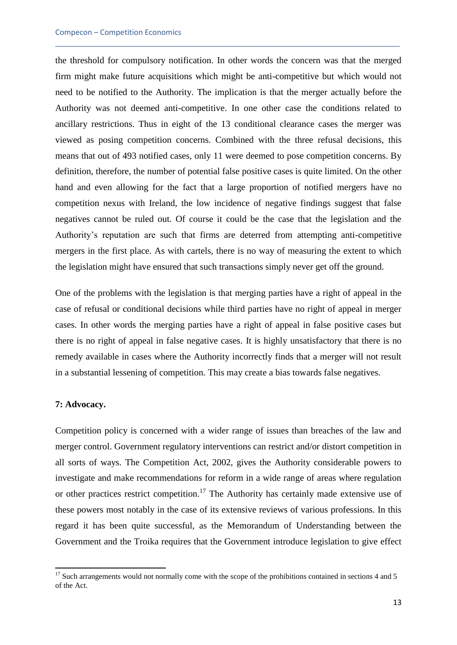the threshold for compulsory notification. In other words the concern was that the merged firm might make future acquisitions which might be anti-competitive but which would not need to be notified to the Authority. The implication is that the merger actually before the Authority was not deemed anti-competitive. In one other case the conditions related to ancillary restrictions. Thus in eight of the 13 conditional clearance cases the merger was viewed as posing competition concerns. Combined with the three refusal decisions, this means that out of 493 notified cases, only 11 were deemed to pose competition concerns. By definition, therefore, the number of potential false positive cases is quite limited. On the other hand and even allowing for the fact that a large proportion of notified mergers have no competition nexus with Ireland, the low incidence of negative findings suggest that false negatives cannot be ruled out. Of course it could be the case that the legislation and the Authority's reputation are such that firms are deterred from attempting anti-competitive mergers in the first place. As with cartels, there is no way of measuring the extent to which the legislation might have ensured that such transactions simply never get off the ground.

\_\_\_\_\_\_\_\_\_\_\_\_\_\_\_\_\_\_\_\_\_\_\_\_\_\_\_\_\_\_\_\_\_\_\_\_\_\_\_\_\_\_\_\_\_\_\_\_\_\_\_\_\_\_\_\_\_\_\_\_\_\_\_\_\_\_\_\_\_\_\_\_\_\_\_\_\_\_\_\_\_\_

One of the problems with the legislation is that merging parties have a right of appeal in the case of refusal or conditional decisions while third parties have no right of appeal in merger cases. In other words the merging parties have a right of appeal in false positive cases but there is no right of appeal in false negative cases. It is highly unsatisfactory that there is no remedy available in cases where the Authority incorrectly finds that a merger will not result in a substantial lessening of competition. This may create a bias towards false negatives.

## **7: Advocacy.**

**.** 

Competition policy is concerned with a wider range of issues than breaches of the law and merger control. Government regulatory interventions can restrict and/or distort competition in all sorts of ways. The Competition Act, 2002, gives the Authority considerable powers to investigate and make recommendations for reform in a wide range of areas where regulation or other practices restrict competition.<sup>17</sup> The Authority has certainly made extensive use of these powers most notably in the case of its extensive reviews of various professions. In this regard it has been quite successful, as the Memorandum of Understanding between the Government and the Troika requires that the Government introduce legislation to give effect

 $17$  Such arrangements would not normally come with the scope of the prohibitions contained in sections 4 and 5 of the Act.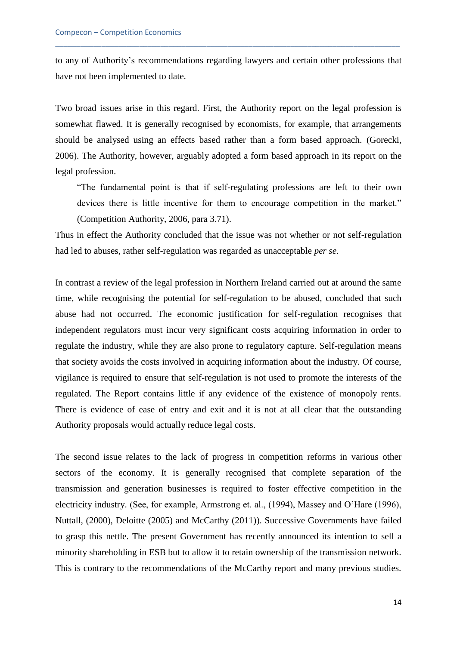to any of Authority's recommendations regarding lawyers and certain other professions that have not been implemented to date.

\_\_\_\_\_\_\_\_\_\_\_\_\_\_\_\_\_\_\_\_\_\_\_\_\_\_\_\_\_\_\_\_\_\_\_\_\_\_\_\_\_\_\_\_\_\_\_\_\_\_\_\_\_\_\_\_\_\_\_\_\_\_\_\_\_\_\_\_\_\_\_\_\_\_\_\_\_\_\_\_\_\_

Two broad issues arise in this regard. First, the Authority report on the legal profession is somewhat flawed. It is generally recognised by economists, for example, that arrangements should be analysed using an effects based rather than a form based approach. (Gorecki, 2006). The Authority, however, arguably adopted a form based approach in its report on the legal profession.

"The fundamental point is that if self-regulating professions are left to their own devices there is little incentive for them to encourage competition in the market." (Competition Authority, 2006, para 3.71).

Thus in effect the Authority concluded that the issue was not whether or not self-regulation had led to abuses, rather self-regulation was regarded as unacceptable *per se*.

In contrast a review of the legal profession in Northern Ireland carried out at around the same time, while recognising the potential for self-regulation to be abused, concluded that such abuse had not occurred. The economic justification for self-regulation recognises that independent regulators must incur very significant costs acquiring information in order to regulate the industry, while they are also prone to regulatory capture. Self-regulation means that society avoids the costs involved in acquiring information about the industry. Of course, vigilance is required to ensure that self-regulation is not used to promote the interests of the regulated. The Report contains little if any evidence of the existence of monopoly rents. There is evidence of ease of entry and exit and it is not at all clear that the outstanding Authority proposals would actually reduce legal costs.

The second issue relates to the lack of progress in competition reforms in various other sectors of the economy. It is generally recognised that complete separation of the transmission and generation businesses is required to foster effective competition in the electricity industry. (See, for example, Armstrong et. al., (1994), Massey and O'Hare (1996), Nuttall, (2000), Deloitte (2005) and McCarthy (2011)). Successive Governments have failed to grasp this nettle. The present Government has recently announced its intention to sell a minority shareholding in ESB but to allow it to retain ownership of the transmission network. This is contrary to the recommendations of the McCarthy report and many previous studies.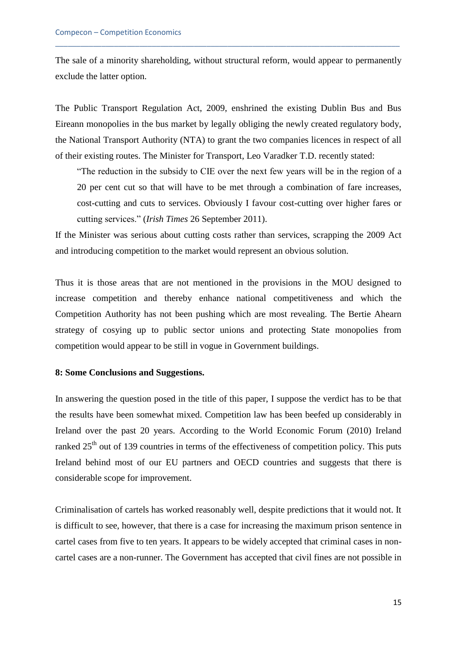The sale of a minority shareholding, without structural reform, would appear to permanently exclude the latter option.

\_\_\_\_\_\_\_\_\_\_\_\_\_\_\_\_\_\_\_\_\_\_\_\_\_\_\_\_\_\_\_\_\_\_\_\_\_\_\_\_\_\_\_\_\_\_\_\_\_\_\_\_\_\_\_\_\_\_\_\_\_\_\_\_\_\_\_\_\_\_\_\_\_\_\_\_\_\_\_\_\_\_

The Public Transport Regulation Act, 2009, enshrined the existing Dublin Bus and Bus Eireann monopolies in the bus market by legally obliging the newly created regulatory body, the National Transport Authority (NTA) to grant the two companies licences in respect of all of their existing routes. The Minister for Transport, Leo Varadker T.D. recently stated:

"The reduction in the subsidy to CIE over the next few years will be in the region of a 20 per cent cut so that will have to be met through a combination of fare increases, cost-cutting and cuts to services. Obviously I favour cost-cutting over higher fares or cutting services." (*Irish Times* 26 September 2011).

If the Minister was serious about cutting costs rather than services, scrapping the 2009 Act and introducing competition to the market would represent an obvious solution.

Thus it is those areas that are not mentioned in the provisions in the MOU designed to increase competition and thereby enhance national competitiveness and which the Competition Authority has not been pushing which are most revealing. The Bertie Ahearn strategy of cosying up to public sector unions and protecting State monopolies from competition would appear to be still in vogue in Government buildings.

# **8: Some Conclusions and Suggestions.**

In answering the question posed in the title of this paper, I suppose the verdict has to be that the results have been somewhat mixed. Competition law has been beefed up considerably in Ireland over the past 20 years. According to the World Economic Forum (2010) Ireland ranked  $25<sup>th</sup>$  out of 139 countries in terms of the effectiveness of competition policy. This puts Ireland behind most of our EU partners and OECD countries and suggests that there is considerable scope for improvement.

Criminalisation of cartels has worked reasonably well, despite predictions that it would not. It is difficult to see, however, that there is a case for increasing the maximum prison sentence in cartel cases from five to ten years. It appears to be widely accepted that criminal cases in noncartel cases are a non-runner. The Government has accepted that civil fines are not possible in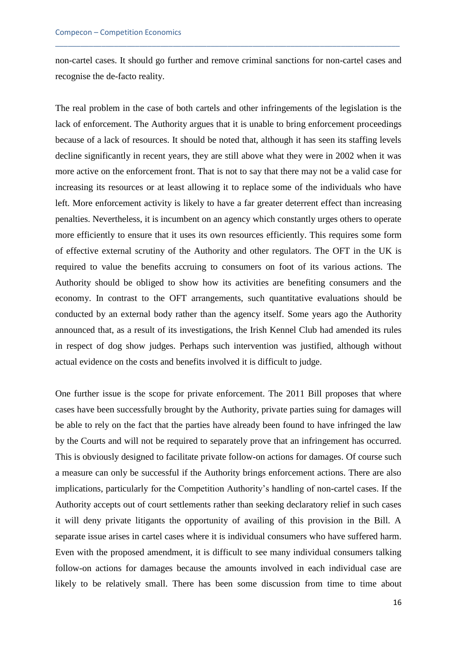non-cartel cases. It should go further and remove criminal sanctions for non-cartel cases and recognise the de-facto reality.

\_\_\_\_\_\_\_\_\_\_\_\_\_\_\_\_\_\_\_\_\_\_\_\_\_\_\_\_\_\_\_\_\_\_\_\_\_\_\_\_\_\_\_\_\_\_\_\_\_\_\_\_\_\_\_\_\_\_\_\_\_\_\_\_\_\_\_\_\_\_\_\_\_\_\_\_\_\_\_\_\_\_

The real problem in the case of both cartels and other infringements of the legislation is the lack of enforcement. The Authority argues that it is unable to bring enforcement proceedings because of a lack of resources. It should be noted that, although it has seen its staffing levels decline significantly in recent years, they are still above what they were in 2002 when it was more active on the enforcement front. That is not to say that there may not be a valid case for increasing its resources or at least allowing it to replace some of the individuals who have left. More enforcement activity is likely to have a far greater deterrent effect than increasing penalties. Nevertheless, it is incumbent on an agency which constantly urges others to operate more efficiently to ensure that it uses its own resources efficiently. This requires some form of effective external scrutiny of the Authority and other regulators. The OFT in the UK is required to value the benefits accruing to consumers on foot of its various actions. The Authority should be obliged to show how its activities are benefiting consumers and the economy. In contrast to the OFT arrangements, such quantitative evaluations should be conducted by an external body rather than the agency itself. Some years ago the Authority announced that, as a result of its investigations, the Irish Kennel Club had amended its rules in respect of dog show judges. Perhaps such intervention was justified, although without actual evidence on the costs and benefits involved it is difficult to judge.

One further issue is the scope for private enforcement. The 2011 Bill proposes that where cases have been successfully brought by the Authority, private parties suing for damages will be able to rely on the fact that the parties have already been found to have infringed the law by the Courts and will not be required to separately prove that an infringement has occurred. This is obviously designed to facilitate private follow-on actions for damages. Of course such a measure can only be successful if the Authority brings enforcement actions. There are also implications, particularly for the Competition Authority's handling of non-cartel cases. If the Authority accepts out of court settlements rather than seeking declaratory relief in such cases it will deny private litigants the opportunity of availing of this provision in the Bill. A separate issue arises in cartel cases where it is individual consumers who have suffered harm. Even with the proposed amendment, it is difficult to see many individual consumers talking follow-on actions for damages because the amounts involved in each individual case are likely to be relatively small. There has been some discussion from time to time about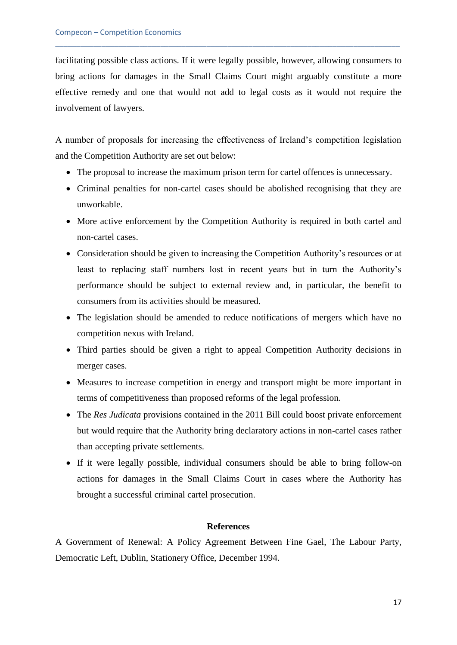facilitating possible class actions. If it were legally possible, however, allowing consumers to bring actions for damages in the Small Claims Court might arguably constitute a more effective remedy and one that would not add to legal costs as it would not require the involvement of lawyers.

\_\_\_\_\_\_\_\_\_\_\_\_\_\_\_\_\_\_\_\_\_\_\_\_\_\_\_\_\_\_\_\_\_\_\_\_\_\_\_\_\_\_\_\_\_\_\_\_\_\_\_\_\_\_\_\_\_\_\_\_\_\_\_\_\_\_\_\_\_\_\_\_\_\_\_\_\_\_\_\_\_\_

A number of proposals for increasing the effectiveness of Ireland's competition legislation and the Competition Authority are set out below:

- The proposal to increase the maximum prison term for cartel offences is unnecessary.
- Criminal penalties for non-cartel cases should be abolished recognising that they are unworkable.
- More active enforcement by the Competition Authority is required in both cartel and non-cartel cases.
- Consideration should be given to increasing the Competition Authority's resources or at least to replacing staff numbers lost in recent years but in turn the Authority's performance should be subject to external review and, in particular, the benefit to consumers from its activities should be measured.
- The legislation should be amended to reduce notifications of mergers which have no competition nexus with Ireland.
- Third parties should be given a right to appeal Competition Authority decisions in merger cases.
- Measures to increase competition in energy and transport might be more important in terms of competitiveness than proposed reforms of the legal profession.
- The *Res Judicata* provisions contained in the 2011 Bill could boost private enforcement but would require that the Authority bring declaratory actions in non-cartel cases rather than accepting private settlements.
- If it were legally possible, individual consumers should be able to bring follow-on actions for damages in the Small Claims Court in cases where the Authority has brought a successful criminal cartel prosecution.

# **References**

A Government of Renewal: A Policy Agreement Between Fine Gael, The Labour Party, Democratic Left, Dublin, Stationery Office, December 1994.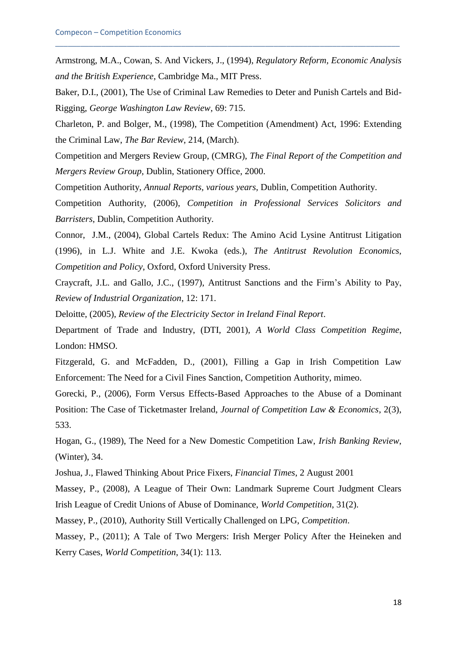Armstrong, M.A., Cowan, S. And Vickers, J., (1994), *Regulatory Reform, Economic Analysis and the British Experience*, Cambridge Ma., MIT Press.

\_\_\_\_\_\_\_\_\_\_\_\_\_\_\_\_\_\_\_\_\_\_\_\_\_\_\_\_\_\_\_\_\_\_\_\_\_\_\_\_\_\_\_\_\_\_\_\_\_\_\_\_\_\_\_\_\_\_\_\_\_\_\_\_\_\_\_\_\_\_\_\_\_\_\_\_\_\_\_\_\_\_

Baker, D.I., (2001), The Use of Criminal Law Remedies to Deter and Punish Cartels and Bid-Rigging, *George Washington Law Review*, 69: 715.

Charleton, P. and Bolger, M., (1998), The Competition (Amendment) Act, 1996: Extending the Criminal Law, *The Bar Review*, 214, (March).

Competition and Mergers Review Group, (CMRG), *The Final Report of the Competition and Mergers Review Group*, Dublin, Stationery Office, 2000.

Competition Authority, *Annual Reports, various years*, Dublin, Competition Authority.

Competition Authority, (2006), *Competition in Professional Services Solicitors and Barristers*, Dublin, Competition Authority.

Connor, J.M., (2004), Global Cartels Redux: The Amino Acid Lysine Antitrust Litigation (1996), in L.J. White and J.E. Kwoka (eds.), *The Antitrust Revolution Economics, Competition and Policy*, Oxford, Oxford University Press.

Craycraft, J.L. and Gallo, J.C., (1997), Antitrust Sanctions and the Firm's Ability to Pay, *Review of Industrial Organization*, 12: 171.

Deloitte, (2005), *Review of the Electricity Sector in Ireland Final Report*.

Department of Trade and Industry, (DTI, 2001), *A World Class Competition Regime*, London: HMSO.

Fitzgerald, G. and McFadden, D., (2001), Filling a Gap in Irish Competition Law Enforcement: The Need for a Civil Fines Sanction, Competition Authority, mimeo.

Gorecki, P., (2006), Form Versus Effects-Based Approaches to the Abuse of a Dominant Position: The Case of Ticketmaster Ireland, *Journal of Competition Law & Economics*, 2(3), 533.

Hogan, G., (1989), The Need for a New Domestic Competition Law, *Irish Banking Review*, (Winter), 34.

Joshua, J., Flawed Thinking About Price Fixers, *Financial Times*, 2 August 2001

Massey, P., (2008), A League of Their Own: Landmark Supreme Court Judgment Clears Irish League of Credit Unions of Abuse of Dominance, *World Competition*, 31(2).

Massey, P., (2010), Authority Still Vertically Challenged on LPG, *Competition*.

Massey, P., (2011); A Tale of Two Mergers: Irish Merger Policy After the Heineken and Kerry Cases, *World Competition*, 34(1): 113.